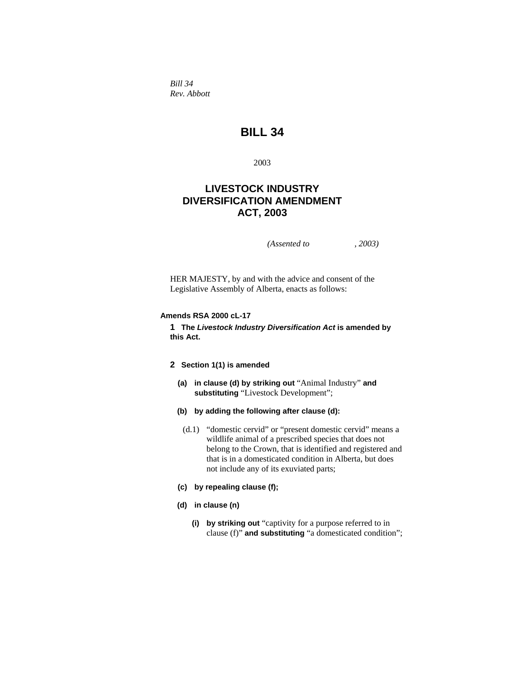*Bill 34 Rev. Abbott* 

# **BILL 34**

2003

## **LIVESTOCK INDUSTRY DIVERSIFICATION AMENDMENT ACT, 2003**

*(Assented to , 2003)* 

HER MAJESTY, by and with the advice and consent of the Legislative Assembly of Alberta, enacts as follows:

## **Amends RSA 2000 cL-17**

**1 The** *Livestock Industry Diversification Act* **is amended by this Act.** 

## **2 Section 1(1) is amended**

- **(a) in clause (d) by striking out** "Animal Industry" **and substituting** "Livestock Development";
- **(b) by adding the following after clause (d):**
	- (d.1) "domestic cervid" or "present domestic cervid" means a wildlife animal of a prescribed species that does not belong to the Crown, that is identified and registered and that is in a domesticated condition in Alberta, but does not include any of its exuviated parts;
- **(c) by repealing clause (f);**
- **(d) in clause (n)** 
	- **(i) by striking out** "captivity for a purpose referred to in clause (f)" **and substituting** "a domesticated condition";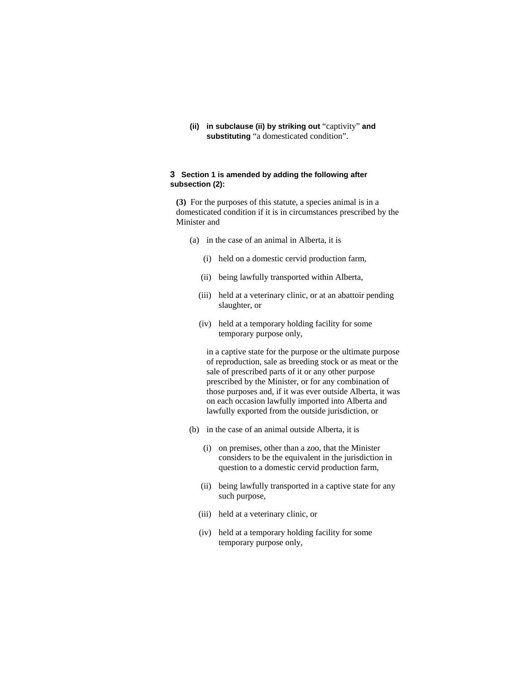**(ii) in subclause (ii) by striking out** "captivity" **and substituting** "a domesticated condition".

## **3 Section 1 is amended by adding the following after subsection (2):**

**(3)** For the purposes of this statute, a species animal is in a domesticated condition if it is in circumstances prescribed by the Minister and

- (a) in the case of an animal in Alberta, it is
	- (i) held on a domestic cervid production farm,
	- (ii) being lawfully transported within Alberta,
	- (iii) held at a veterinary clinic, or at an abattoir pending slaughter, or
	- (iv) held at a temporary holding facility for some temporary purpose only,

 in a captive state for the purpose or the ultimate purpose of reproduction, sale as breeding stock or as meat or the sale of prescribed parts of it or any other purpose prescribed by the Minister, or for any combination of those purposes and, if it was ever outside Alberta, it was on each occasion lawfully imported into Alberta and lawfully exported from the outside jurisdiction, or

- (b) in the case of an animal outside Alberta, it is
	- (i) on premises, other than a zoo, that the Minister considers to be the equivalent in the jurisdiction in question to a domestic cervid production farm,
	- (ii) being lawfully transported in a captive state for any such purpose,
	- (iii) held at a veterinary clinic, or
	- (iv) held at a temporary holding facility for some temporary purpose only,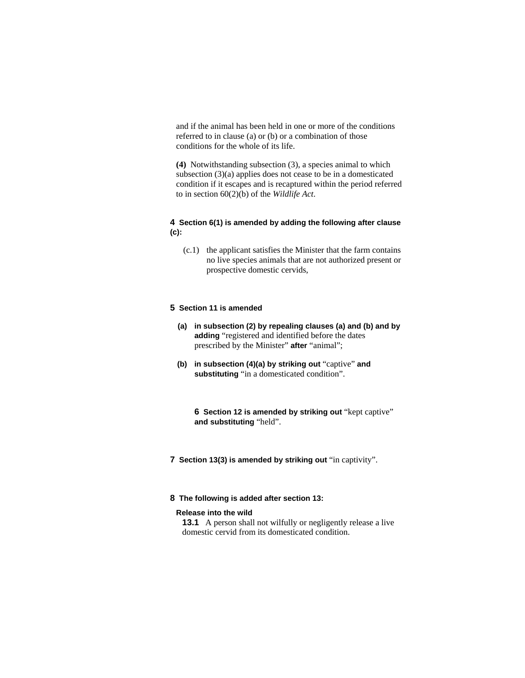and if the animal has been held in one or more of the conditions referred to in clause (a) or (b) or a combination of those conditions for the whole of its life.

**(4)** Notwithstanding subsection (3), a species animal to which subsection (3)(a) applies does not cease to be in a domesticated condition if it escapes and is recaptured within the period referred to in section 60(2)(b) of the *Wildlife Act*.

## **4 Section 6(1) is amended by adding the following after clause (c):**

 (c.1) the applicant satisfies the Minister that the farm contains no live species animals that are not authorized present or prospective domestic cervids,

## **5 Section 11 is amended**

- **(a) in subsection (2) by repealing clauses (a) and (b) and by adding** "registered and identified before the dates prescribed by the Minister" **after** "animal";
- **(b) in subsection (4)(a) by striking out** "captive" **and substituting** "in a domesticated condition".

**6 Section 12 is amended by striking out** "kept captive" **and substituting** "held".

**7 Section 13(3) is amended by striking out** "in captivity".

#### **8 The following is added after section 13:**

#### **Release into the wild**

**13.1** A person shall not wilfully or negligently release a live domestic cervid from its domesticated condition.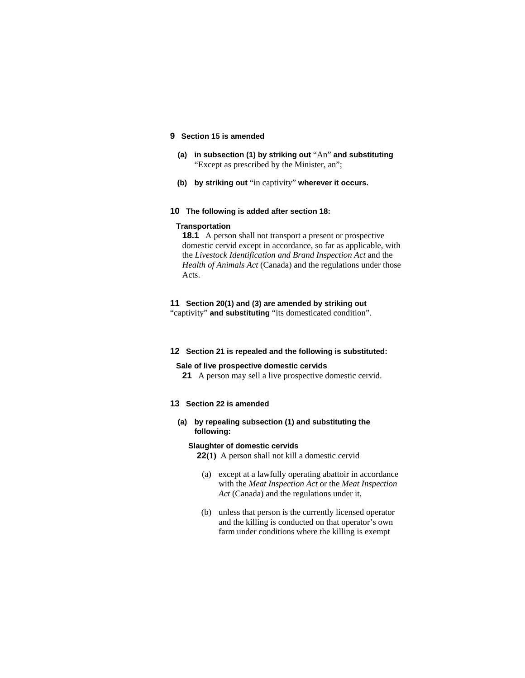## **9 Section 15 is amended**

- **(a) in subsection (1) by striking out** "An" **and substituting**  "Except as prescribed by the Minister, an";
- **(b) by striking out** "in captivity" **wherever it occurs.**

#### **10 The following is added after section 18:**

## **Transportation**

**18.1** A person shall not transport a present or prospective domestic cervid except in accordance, so far as applicable, with the *Livestock Identification and Brand Inspection Act* and the *Health of Animals Act* (Canada) and the regulations under those Acts.

#### **11 Section 20(1) and (3) are amended by striking out**

"captivity" **and substituting** "its domesticated condition".

#### **12 Section 21 is repealed and the following is substituted:**

#### **Sale of live prospective domestic cervids**

**21** A person may sell a live prospective domestic cervid.

## **13 Section 22 is amended**

**(a) by repealing subsection (1) and substituting the following:** 

#### **Slaughter of domestic cervids**

**22(1)** A person shall not kill a domestic cervid

- (a) except at a lawfully operating abattoir in accordance with the *Meat Inspection Act* or the *Meat Inspection Act* (Canada) and the regulations under it,
- (b) unless that person is the currently licensed operator and the killing is conducted on that operator's own farm under conditions where the killing is exempt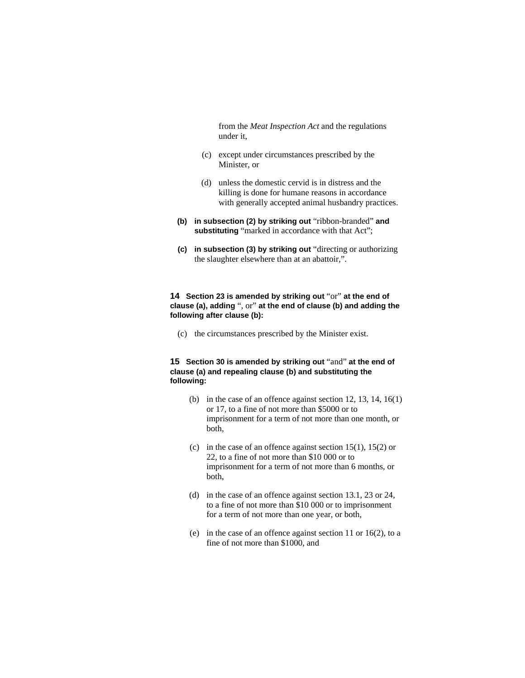from the *Meat Inspection Act* and the regulations under it,

- (c) except under circumstances prescribed by the Minister, or
- (d) unless the domestic cervid is in distress and the killing is done for humane reasons in accordance with generally accepted animal husbandry practices.
- **(b) in subsection (2) by striking out** "ribbon-branded" **and substituting** "marked in accordance with that Act";
- **(c) in subsection (3) by striking out** "directing or authorizing the slaughter elsewhere than at an abattoir,".

## **14 Section 23 is amended by striking out** "or" **at the end of clause (a), adding** ", or" **at the end of clause (b) and adding the following after clause (b):**

(c) the circumstances prescribed by the Minister exist.

## **15 Section 30 is amended by striking out** "and" **at the end of clause (a) and repealing clause (b) and substituting the following:**

- (b) in the case of an offence against section 12, 13, 14, 16(1) or 17, to a fine of not more than \$5000 or to imprisonment for a term of not more than one month, or both,
- (c) in the case of an offence against section 15(1), 15(2) or 22, to a fine of not more than \$10 000 or to imprisonment for a term of not more than 6 months, or both,
- (d) in the case of an offence against section 13.1, 23 or 24, to a fine of not more than \$10 000 or to imprisonment for a term of not more than one year, or both,
- (e) in the case of an offence against section 11 or 16(2), to a fine of not more than \$1000, and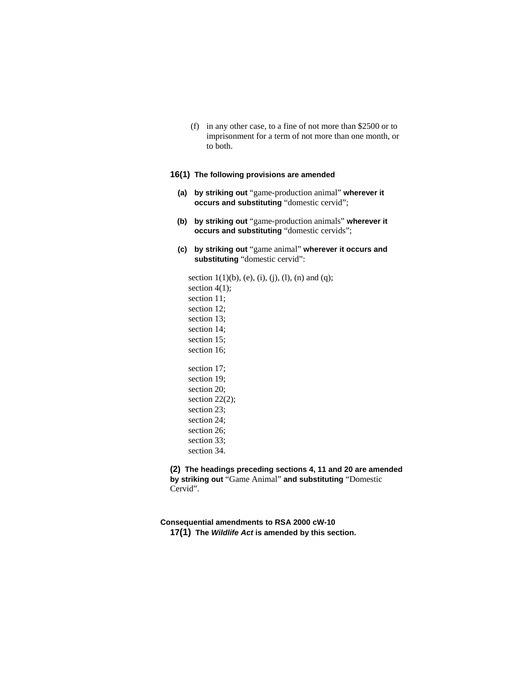(f) in any other case, to a fine of not more than \$2500 or to imprisonment for a term of not more than one month, or to both.

## **16(1) The following provisions are amended**

- **(a) by striking out** "game-production animal" **wherever it occurs and substituting** "domestic cervid";
- **(b) by striking out** "game-production animals" **wherever it occurs and substituting** "domestic cervids";
- **(c) by striking out** "game animal" **wherever it occurs and substituting** "domestic cervid":

section  $1(1)(b)$ , (e), (i), (j), (l), (n) and (q); section  $4(1)$ ; section 11; section 12; section 13; section 14; section 15; section 16; section 17; section 19; section 20; section 22(2); section 23; section 24; section 26; section 33; section 34.

**(2) The headings preceding sections 4, 11 and 20 are amended by striking out** "Game Animal" **and substituting** "Domestic Cervid".

**Consequential amendments to RSA 2000 cW-10 17(1) The** *Wildlife Act* **is amended by this section.**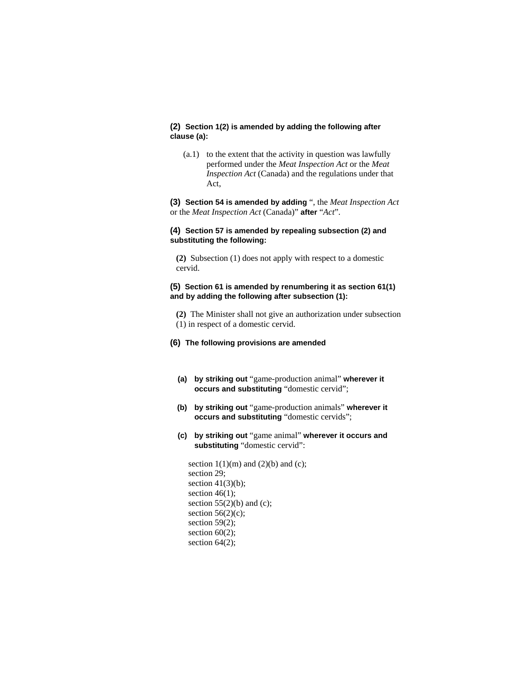## **(2) Section 1(2) is amended by adding the following after clause (a):**

 (a.1) to the extent that the activity in question was lawfully performed under the *Meat Inspection Act* or the *Meat Inspection Act* (Canada) and the regulations under that Act,

**(3) Section 54 is amended by adding** ", the *Meat Inspection Act* or the *Meat Inspection Act* (Canada)" **after** "*Act*".

## **(4) Section 57 is amended by repealing subsection (2) and substituting the following:**

**(2)** Subsection (1) does not apply with respect to a domestic cervid.

## **(5) Section 61 is amended by renumbering it as section 61(1) and by adding the following after subsection (1):**

**(2)** The Minister shall not give an authorization under subsection (1) in respect of a domestic cervid.

- **(6) The following provisions are amended** 
	- **(a) by striking out** "game-production animal" **wherever it occurs and substituting** "domestic cervid";
	- **(b) by striking out** "game-production animals" **wherever it occurs and substituting** "domestic cervids";
	- **(c) by striking out** "game animal" **wherever it occurs and substituting** "domestic cervid":

section  $1(1)(m)$  and  $(2)(b)$  and  $(c)$ ; section 29; section  $41(3)(b)$ ; section  $46(1)$ ; section  $55(2)(b)$  and (c); section  $56(2)(c)$ ; section 59(2); section 60(2); section 64(2);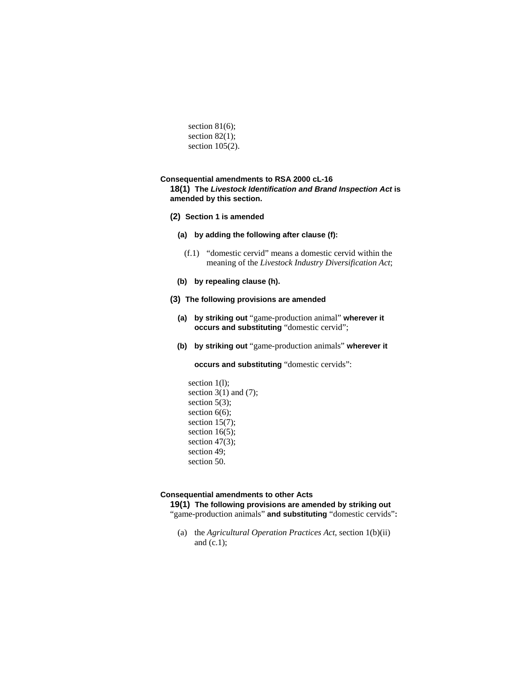section  $81(6)$ ; section 82(1); section 105(2).

#### **Consequential amendments to RSA 2000 cL-16**

**18(1) The** *Livestock Identification and Brand Inspection Act* **is amended by this section.** 

- **(2) Section 1 is amended** 
	- **(a) by adding the following after clause (f):**
		- (f.1) "domestic cervid" means a domestic cervid within the meaning of the *Livestock Industry Diversification Act*;
	- **(b) by repealing clause (h).**

#### **(3) The following provisions are amended**

- **(a) by striking out** "game-production animal" **wherever it occurs and substituting** "domestic cervid";
- **(b) by striking out** "game-production animals" **wherever it**

 **occurs and substituting** "domestic cervids":

section 1(l); section  $3(1)$  and  $(7)$ ; section  $5(3)$ ; section 6(6); section  $15(7)$ ; section  $16(5)$ ; section 47(3); section 49; section 50.

#### **Consequential amendments to other Acts**

**19(1) The following provisions are amended by striking out**  "game-production animals" **and substituting** "domestic cervids"**:** 

 (a) the *Agricultural Operation Practices Act*, section 1(b)(ii) and  $(c.1)$ ;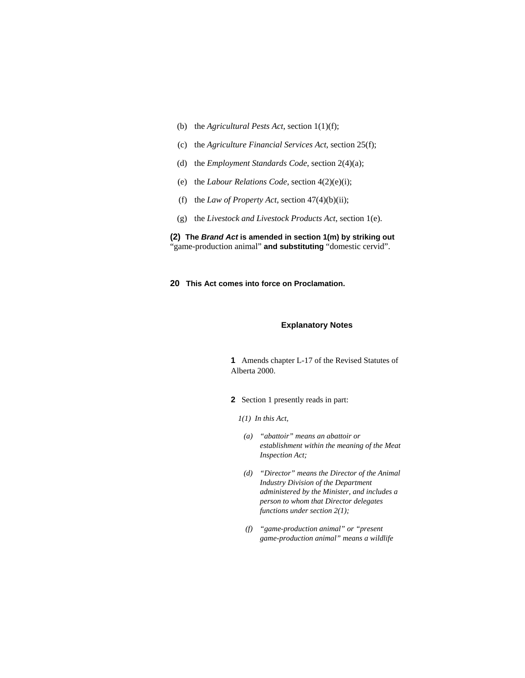- (b) the *Agricultural Pests Act*, section 1(1)(f);
- (c) the *Agriculture Financial Services Act*, section 25(f);
- (d) the *Employment Standards Code*, section 2(4)(a);
- (e) the *Labour Relations Code*, section 4(2)(e)(i);
- (f) the *Law of Property Act*, section 47(4)(b)(ii);
- (g) the *Livestock and Livestock Products Act*, section 1(e).

**(2) The** *Brand Act* **is amended in section 1(m) by striking out**  "game-production animal" **and substituting** "domestic cervid".

**20 This Act comes into force on Proclamation.** 

#### **Explanatory Notes**

**1** Amends chapter L-17 of the Revised Statutes of Alberta 2000.

- **2** Section 1 presently reads in part:
	- *1(1) In this Act,* 
		- *(a) "abattoir" means an abattoir or establishment within the meaning of the Meat Inspection Act;*
		- *(d) "Director" means the Director of the Animal Industry Division of the Department administered by the Minister, and includes a person to whom that Director delegates functions under section 2(1);*
		- *(f) "game-production animal" or "present game-production animal" means a wildlife*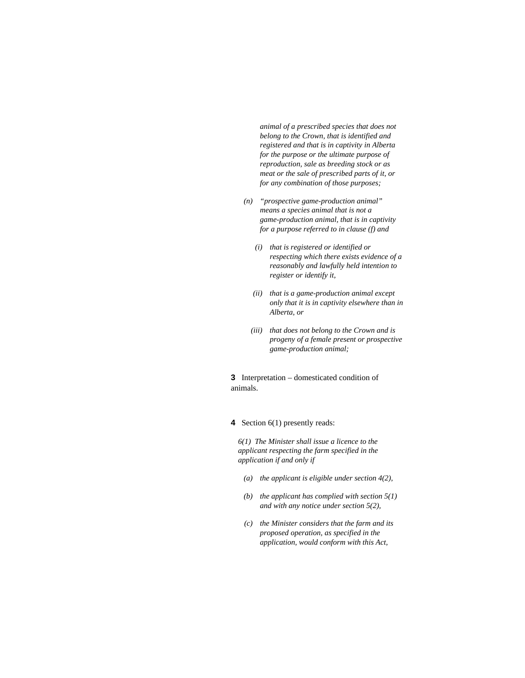*animal of a prescribed species that does not belong to the Crown, that is identified and registered and that is in captivity in Alberta for the purpose or the ultimate purpose of reproduction, sale as breeding stock or as meat or the sale of prescribed parts of it, or for any combination of those purposes;* 

- *(n) "prospective game-production animal" means a species animal that is not a game-production animal, that is in captivity for a purpose referred to in clause (f) and* 
	- *(i) that is registered or identified or respecting which there exists evidence of a reasonably and lawfully held intention to register or identify it,*
	- *(ii) that is a game-production animal except only that it is in captivity elsewhere than in Alberta, or*
	- *(iii) that does not belong to the Crown and is progeny of a female present or prospective game-production animal;*

**3** Interpretation – domesticated condition of animals.

**4** Section 6(1) presently reads:

*6(1) The Minister shall issue a licence to the applicant respecting the farm specified in the application if and only if* 

- *(a) the applicant is eligible under section 4(2),*
- *(b) the applicant has complied with section 5(1) and with any notice under section 5(2),*
- *(c) the Minister considers that the farm and its proposed operation, as specified in the application, would conform with this Act,*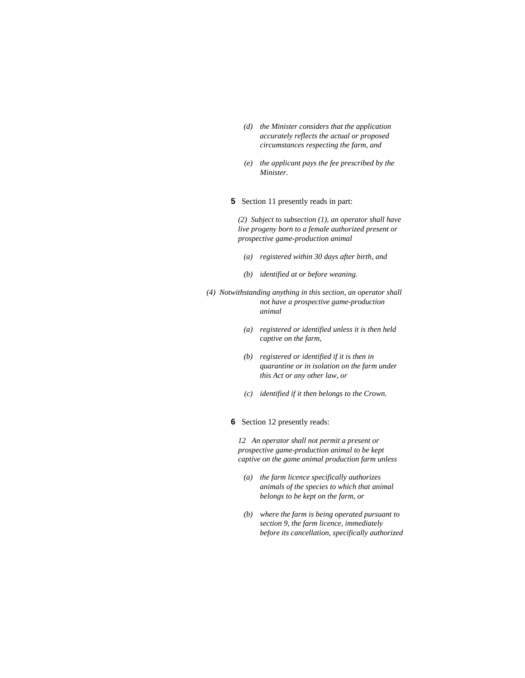- *(d) the Minister considers that the application accurately reflects the actual or proposed circumstances respecting the farm, and*
- *(e) the applicant pays the fee prescribed by the Minister.*
- **5** Section 11 presently reads in part:

*(2) Subject to subsection (1), an operator shall have live progeny born to a female authorized present or prospective game-production animal* 

- *(a) registered within 30 days after birth, and*
- *(b) identified at or before weaning.*
- *(4) Notwithstanding anything in this section, an operator shall not have a prospective game-production animal* 
	- *(a) registered or identified unless it is then held captive on the farm,*
	- *(b) registered or identified if it is then in quarantine or in isolation on the farm under this Act or any other law, or*
	- *(c) identified if it then belongs to the Crown.*
	- **6** Section 12 presently reads:

*12 An operator shall not permit a present or prospective game-production animal to be kept captive on the game animal production farm unless* 

- *(a) the farm licence specifically authorizes animals of the species to which that animal belongs to be kept on the farm, or*
- *(b) where the farm is being operated pursuant to section 9, the farm licence, immediately before its cancellation, specifically authorized*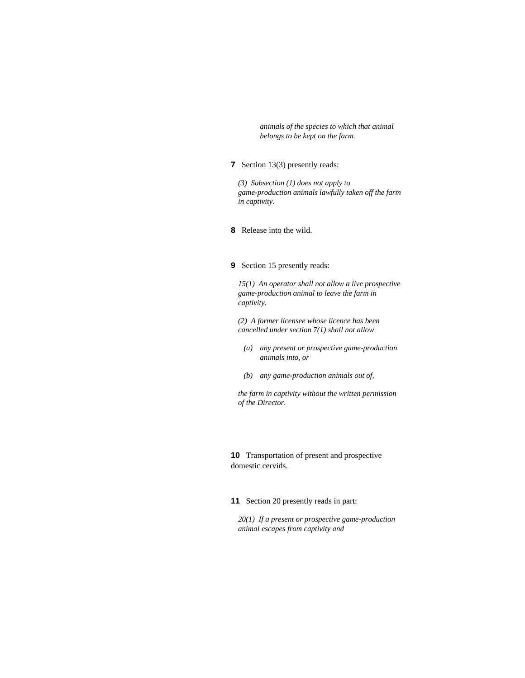*animals of the species to which that animal belongs to be kept on the farm.* 

## **7** Section 13(3) presently reads:

*(3) Subsection (1) does not apply to game-production animals lawfully taken off the farm in captivity.* 

**8** Release into the wild.

#### **9** Section 15 presently reads:

*15(1) An operator shall not allow a live prospective game-production animal to leave the farm in captivity.* 

*(2) A former licensee whose licence has been cancelled under section 7(1) shall not allow* 

- *(a) any present or prospective game-production animals into, or*
- *(b) any game-production animals out of,*

*the farm in captivity without the written permission of the Director.* 

**10** Transportation of present and prospective domestic cervids.

**11** Section 20 presently reads in part:

*20(1) If a present or prospective game-production animal escapes from captivity and*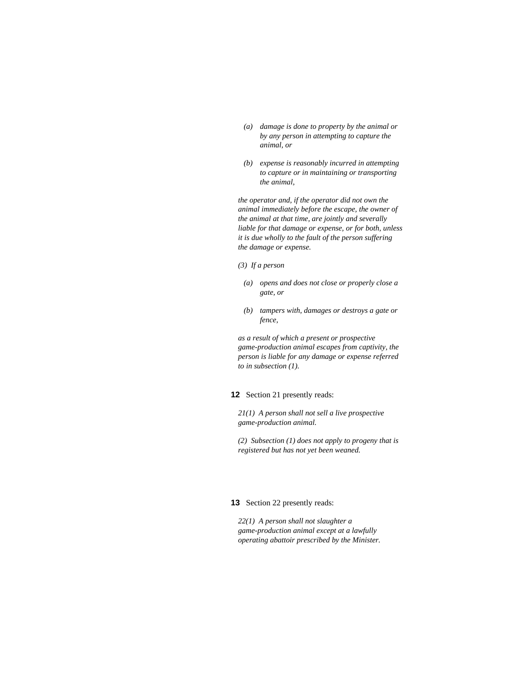- *(a) damage is done to property by the animal or by any person in attempting to capture the animal, or*
- *(b) expense is reasonably incurred in attempting to capture or in maintaining or transporting the animal,*

*the operator and, if the operator did not own the animal immediately before the escape, the owner of the animal at that time, are jointly and severally liable for that damage or expense, or for both, unless it is due wholly to the fault of the person suffering the damage or expense.* 

- *(3) If a person*
- *(a) opens and does not close or properly close a gate, or*
- *(b) tampers with, damages or destroys a gate or fence,*

*as a result of which a present or prospective game-production animal escapes from captivity, the person is liable for any damage or expense referred to in subsection (1).* 

## **12** Section 21 presently reads:

*21(1) A person shall not sell a live prospective game-production animal.* 

*(2) Subsection (1) does not apply to progeny that is registered but has not yet been weaned.* 

#### **13** Section 22 presently reads:

*22(1) A person shall not slaughter a game-production animal except at a lawfully operating abattoir prescribed by the Minister.*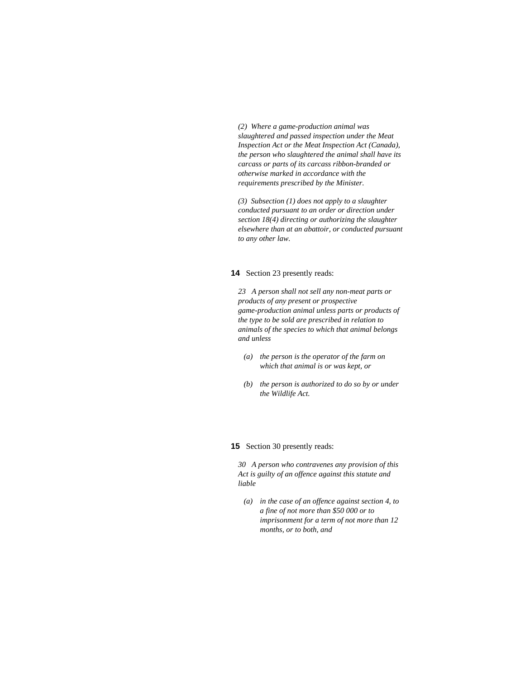*(2) Where a game-production animal was slaughtered and passed inspection under the Meat Inspection Act or the Meat Inspection Act (Canada), the person who slaughtered the animal shall have its carcass or parts of its carcass ribbon-branded or otherwise marked in accordance with the requirements prescribed by the Minister.* 

*(3) Subsection (1) does not apply to a slaughter conducted pursuant to an order or direction under section 18(4) directing or authorizing the slaughter elsewhere than at an abattoir, or conducted pursuant to any other law.* 

#### **14** Section 23 presently reads:

*23 A person shall not sell any non-meat parts or products of any present or prospective game-production animal unless parts or products of the type to be sold are prescribed in relation to animals of the species to which that animal belongs and unless* 

- *(a) the person is the operator of the farm on which that animal is or was kept, or*
- *(b) the person is authorized to do so by or under the Wildlife Act.*

#### **15** Section 30 presently reads:

*30 A person who contravenes any provision of this Act is guilty of an offence against this statute and liable* 

 *(a) in the case of an offence against section 4, to a fine of not more than \$50 000 or to imprisonment for a term of not more than 12 months, or to both, and*